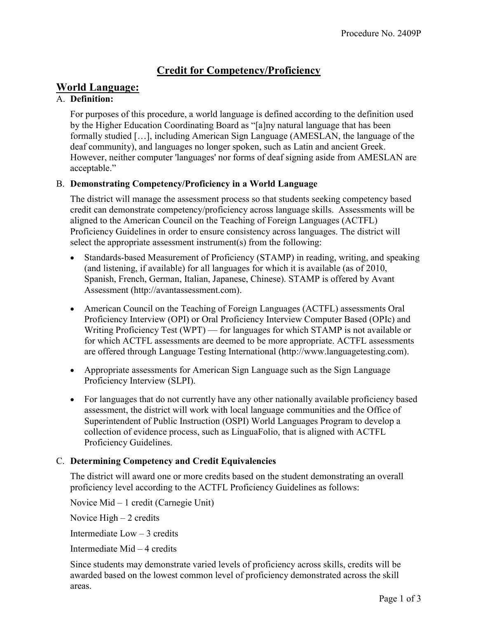# Credit for Competency/Proficiency

# World Language:

## A. Definition:

For purposes of this procedure, a world language is defined according to the definition used by the Higher Education Coordinating Board as "[a]ny natural language that has been formally studied […], including American Sign Language (AMESLAN, the language of the deaf community), and languages no longer spoken, such as Latin and ancient Greek. However, neither computer 'languages' nor forms of deaf signing aside from AMESLAN are acceptable."

## B. Demonstrating Competency/Proficiency in a World Language

The district will manage the assessment process so that students seeking competency based credit can demonstrate competency/proficiency across language skills. Assessments will be aligned to the American Council on the Teaching of Foreign Languages (ACTFL) Proficiency Guidelines in order to ensure consistency across languages. The district will select the appropriate assessment instrument(s) from the following:

- Standards-based Measurement of Proficiency (STAMP) in reading, writing, and speaking (and listening, if available) for all languages for which it is available (as of 2010, Spanish, French, German, Italian, Japanese, Chinese). STAMP is offered by Avant Assessment (http://avantassessment.com).
- American Council on the Teaching of Foreign Languages (ACTFL) assessments Oral Proficiency Interview (OPI) or Oral Proficiency Interview Computer Based (OPIc) and Writing Proficiency Test (WPT) — for languages for which STAMP is not available or for which ACTFL assessments are deemed to be more appropriate. ACTFL assessments are offered through Language Testing International (http://www.languagetesting.com).
- Appropriate assessments for American Sign Language such as the Sign Language Proficiency Interview (SLPI).
- For languages that do not currently have any other nationally available proficiency based assessment, the district will work with local language communities and the Office of Superintendent of Public Instruction (OSPI) World Languages Program to develop a collection of evidence process, such as LinguaFolio, that is aligned with ACTFL Proficiency Guidelines.

## C. Determining Competency and Credit Equivalencies

The district will award one or more credits based on the student demonstrating an overall proficiency level according to the ACTFL Proficiency Guidelines as follows:

Novice Mid – 1 credit (Carnegie Unit)

Novice  $High - 2$  credits

Intermediate Low – 3 credits

Intermediate Mid – 4 credits

Since students may demonstrate varied levels of proficiency across skills, credits will be awarded based on the lowest common level of proficiency demonstrated across the skill areas.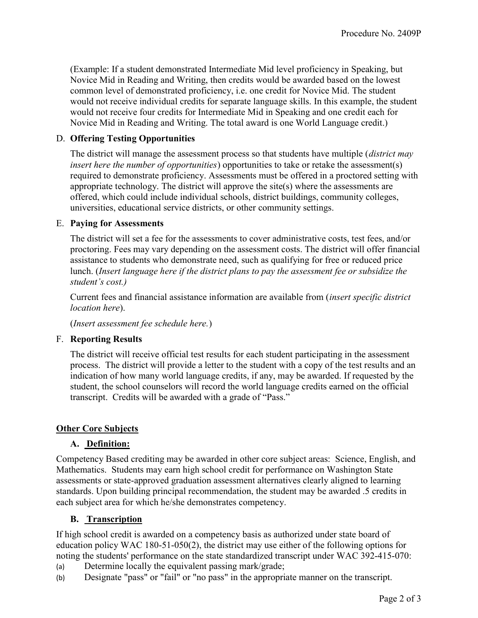(Example: If a student demonstrated Intermediate Mid level proficiency in Speaking, but Novice Mid in Reading and Writing, then credits would be awarded based on the lowest common level of demonstrated proficiency, i.e. one credit for Novice Mid. The student would not receive individual credits for separate language skills. In this example, the student would not receive four credits for Intermediate Mid in Speaking and one credit each for Novice Mid in Reading and Writing. The total award is one World Language credit.)

#### D. Offering Testing Opportunities

The district will manage the assessment process so that students have multiple (*district may* insert here the number of opportunities) opportunities to take or retake the assessment(s) required to demonstrate proficiency. Assessments must be offered in a proctored setting with appropriate technology. The district will approve the site(s) where the assessments are offered, which could include individual schools, district buildings, community colleges, universities, educational service districts, or other community settings.

#### E. Paying for Assessments

The district will set a fee for the assessments to cover administrative costs, test fees, and/or proctoring. Fees may vary depending on the assessment costs. The district will offer financial assistance to students who demonstrate need, such as qualifying for free or reduced price lunch. (Insert language here if the district plans to pay the assessment fee or subsidize the student's cost.)

Current fees and financial assistance information are available from (insert specific district location here).

(Insert assessment fee schedule here.)

#### F. Reporting Results

The district will receive official test results for each student participating in the assessment process. The district will provide a letter to the student with a copy of the test results and an indication of how many world language credits, if any, may be awarded. If requested by the student, the school counselors will record the world language credits earned on the official transcript. Credits will be awarded with a grade of "Pass."

### Other Core Subjects

#### A. Definition:

Competency Based crediting may be awarded in other core subject areas: Science, English, and Mathematics. Students may earn high school credit for performance on Washington State assessments or state-approved graduation assessment alternatives clearly aligned to learning standards. Upon building principal recommendation, the student may be awarded .5 credits in each subject area for which he/she demonstrates competency.

### B. Transcription

If high school credit is awarded on a competency basis as authorized under state board of education policy WAC 180-51-050(2), the district may use either of the following options for noting the students' performance on the state standardized transcript under WAC 392-415-070:

- (a) Determine locally the equivalent passing mark/grade;
- (b) Designate "pass" or "fail" or "no pass" in the appropriate manner on the transcript.